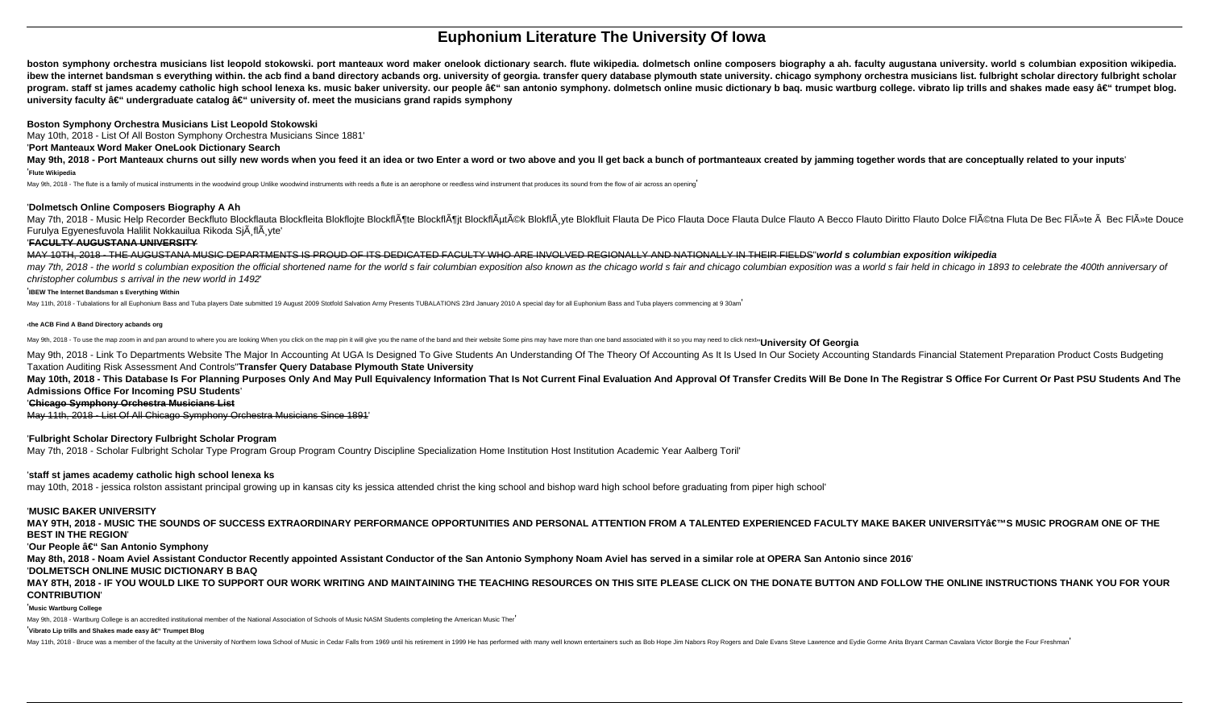# **Euphonium Literature The University Of Iowa**

boston symphony orchestra musicians list leopold stokowski, port manteaux word maker onelook dictionary search. flute wikipedia, dolmetsch online composers biography a ah, faculty augustana university, world s columbian ex ibew the internet bandsman s everything within. the acb find a band directory acbands org. university of georgia. transfer query database plymouth state university. chicago symphony orchestra musicians list. fulbright scho program. staff st james academy catholic high school lenexa ks. music baker university. our people â€" san antonio symphony. dolmetsch online music dictionary b bag. music wartburg college. vibrato lip trills and shakes m university faculty – undergraduate catalog – university of. meet the musicians grand rapids symphony

May 9th, 2018 - Port Manteaux churns out silly new words when you feed it an idea or two Enter a word or two above and you II get back a bunch of portmanteaux created by jamming together words that are conceptually related '**Flute Wikipedia**

May 9th, 2018 - The flute is a family of musical instruments in the woodwind group Unlike woodwind instruments with reeds a flute is an aerophone or reedless wind instrument that produces its sound from the flow of air acr

### **Boston Symphony Orchestra Musicians List Leopold Stokowski**

May 10th, 2018 - List Of All Boston Symphony Orchestra Musicians Since 1881'

#### '**Port Manteaux Word Maker OneLook Dictionary Search**

#### '**Dolmetsch Online Composers Biography A Ah**

May 7th, 2018 - Music Help Recorder Beckfluto Blockflauta Blockfleita Blokfleita Blokfleita Blokfleita Blokfloite Blockflatta Blokfloite Blockflatta Blokfloite Blockflatta Blockflatta Blockflatta Blockflatta Blockflatta Bl Furulya Egyenesfuvola Halilit Nokkauilua Rikoda Si $\tilde{A}$  fl $\tilde{A}$  vte'

May 9th, 2018 - Link To Departments Website The Major In Accounting At UGA Is Designed To Give Students An Understanding Of The Theory Of Accounting As It Is Used In Our Society Accounting Standards Financial Statement Pre Taxation Auditing Risk Assessment And Controls''**Transfer Query Database Plymouth State University**

May 10th, 2018 - This Database Is For Planning Purposes Only And May Pull Equivalency Information That Is Not Current Final Evaluation And Approval Of Transfer Credits Will Be Done In The Registrar S Office For Current Or **Admissions Office For Incoming PSU Students**'

#### '**FACULTY AUGUSTANA UNIVERSITY**

MAY 10TH, 2018 - THE AUGUSTANA MUSIC DEPARTMENTS IS PROUD OF ITS DEDICATED FACULTY WHO ARE INVOLVED REGIONALLY AND NATIONALLY IN THEIR FIELDS''**world s columbian exposition wikipedia** may 7th, 2018 - the world s columbian exposition the official shortened name for the world s fair columbian exposition also known as the chicago world s fair and chicago columbian exposition was a world s fair held in chic christopher columbus s arrival in the new world in 1492'

MAY 9TH, 2018 - MUSIC THE SOUNDS OF SUCCESS EXTRAORDINARY PERFORMANCE OPPORTUNITIES AND PERSONAL ATTENTION FROM A TALENTED EXPERIENCED FACULTY MAKE BAKER UNIVERSITY'S MUSIC PROGRAM ONE OF THE **BEST IN THE REGION**'

#### 'Our People â€" San Antonio Symphony

#### '**IBEW The Internet Bandsman s Everything Within**

May 11th, 2018 - Tubalations for all Euphonium Bass and Tuba players Date submitted 19 August 2009 Stotfold Salvation Army Presents TUBALATIONS 23rd January 2010 A special day for all Euphonium Bass and Tuba players commen

#### '**the ACB Find A Band Directory acbands org**

May 9th, 2018 - To use the map zoom in and pan around to where you are looking When you click on the map pin it will give you the name of the band and their website Some pins may have more than one band associated with it

#### '**Chicago Symphony Orchestra Musicians List**

May 11th, 2018 - List Of All Chicago Symphony Orchestra Musicians Since 1891'

#### '**Fulbright Scholar Directory Fulbright Scholar Program**

May 7th, 2018 - Scholar Fulbright Scholar Type Program Group Program Country Discipline Specialization Home Institution Host Institution Academic Year Aalberg Toril'

#### '**staff st james academy catholic high school lenexa ks**

may 10th, 2018 - jessica rolston assistant principal growing up in kansas city ks jessica attended christ the king school and bishop ward high school before graduating from piper high school'

#### '**MUSIC BAKER UNIVERSITY**

**May 8th, 2018 - Noam Aviel Assistant Conductor Recently appointed Assistant Conductor of the San Antonio Symphony Noam Aviel has served in a similar role at OPERA San Antonio since 2016**' '**DOLMETSCH ONLINE MUSIC DICTIONARY B BAQ**

### **MAY 8TH, 2018 - IF YOU WOULD LIKE TO SUPPORT OUR WORK WRITING AND MAINTAINING THE TEACHING RESOURCES ON THIS SITE PLEASE CLICK ON THE DONATE BUTTON AND FOLLOW THE ONLINE INSTRUCTIONS THANK YOU FOR YOUR CONTRIBUTION**'

#### '**Music Wartburg College**

May 9th, 2018 - Wartburg College is an accredited institutional member of the National Association of Schools of Music NASM Students completing the American Music Ther'

#### <sup>'</sup>Vibrato Lip trills and Shakes made easy – Trumpet Blog

May 11th, 2018 - Bruce was a member of the faculty at the University of Northern lowa School of Music in Cedar Falls from 1969 until his retirement in 1999 He has performed with many well known entertainers such as Bob Hop